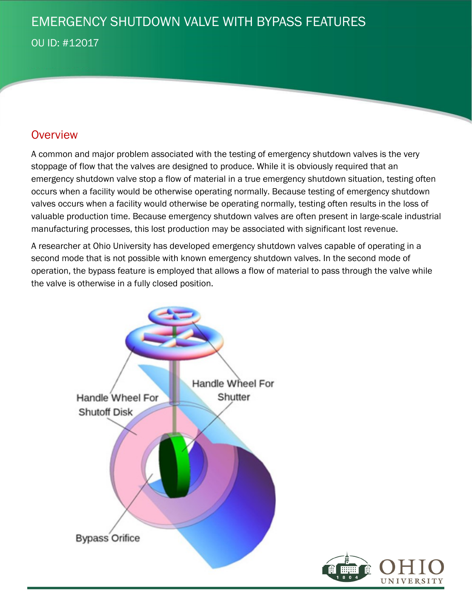## EMERGENCY SHUTDOWN VALVE WITH BYPASS FEATURES

OU ID: #12017

#### **Overview**

A common and major problem associated with the testing of emergency shutdown valves is the very stoppage of flow that the valves are designed to produce. While it is obviously required that an emergency shutdown valve stop a flow of material in a true emergency shutdown situation, testing often occurs when a facility would be otherwise operating normally. Because testing of emergency shutdown valves occurs when a facility would otherwise be operating normally, testing often results in the loss of valuable production time. Because emergency shutdown valves are often present in large-scale industrial manufacturing processes, this lost production may be associated with significant lost revenue.

A researcher at Ohio University has developed emergency shutdown valves capable of operating in a second mode that is not possible with known emergency shutdown valves. In the second mode of operation, the bypass feature is employed that allows a flow of material to pass through the valve while the valve is otherwise in a fully closed position.